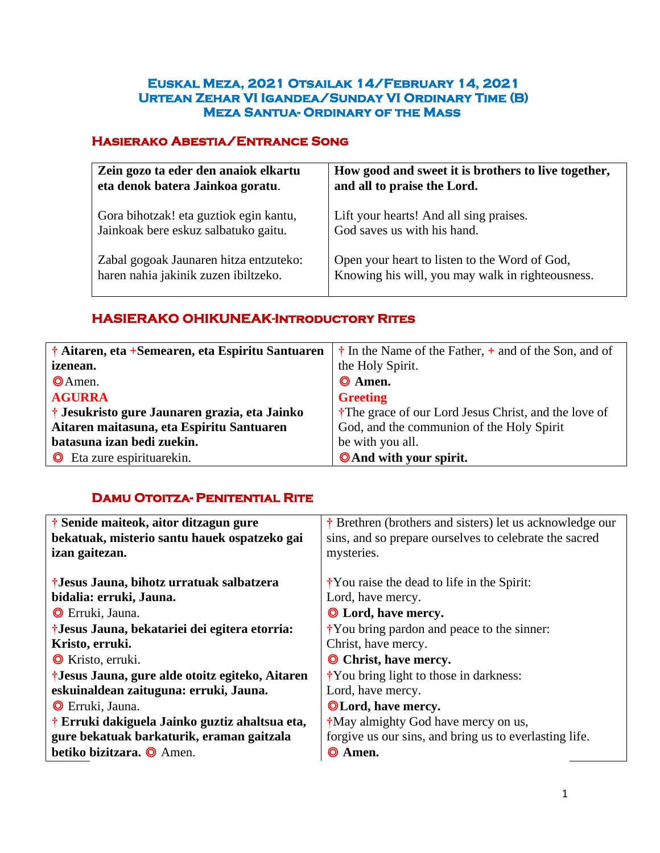#### **Euskal Meza, 2021 Otsailak 14/February 14, 2021 Urtean Zehar VI Igandea/Sunday VI Ordinary Time (B) Meza Santua- Ordinary of the Mass**

## **Hasierako Abestia/Entrance Song**

| Zein gozo ta eder den anaiok elkartu   | How good and sweet it is brothers to live together, |
|----------------------------------------|-----------------------------------------------------|
| eta denok batera Jainkoa goratu.       | and all to praise the Lord.                         |
| Gora bihotzak! eta guztiok egin kantu, | Lift your hearts! And all sing praises.             |
| Jainkoak bere eskuz salbatuko gaitu.   | God saves us with his hand.                         |
| Zabal gogoak Jaunaren hitza entzuteko: | Open your heart to listen to the Word of God,       |
| haren nahia jakinik zuzen ibiltzeko.   | Knowing his will, you may walk in righteousness.    |

## **HASIERAKO OHIKUNEAK-Introductory Rites**

| † Aitaren, eta +Semearen, eta Espiritu Santuaren | $\dagger$ In the Name of the Father, $\dagger$ and of the Son, and of |
|--------------------------------------------------|-----------------------------------------------------------------------|
| <i>izenean.</i>                                  | the Holy Spirit.                                                      |
| $\Theta$ Amen.                                   | $\odot$ Amen.                                                         |
| <b>AGURRA</b>                                    | <b>Greeting</b>                                                       |
| † Jesukristo gure Jaunaren grazia, eta Jainko    | <sup>†</sup> The grace of our Lord Jesus Christ, and the love of      |
| Aitaren maitasuna, eta Espiritu Santuaren        | God, and the communion of the Holy Spirit                             |
| batasuna izan bedi zuekin.                       | be with you all.                                                      |
| <b>O</b> Eta zure espirituarekin.                | <b>O</b> And with your spirit.                                        |
|                                                  |                                                                       |

## **Damu Otoitza- Penitential Rite**

| † Senide maiteok, aitor ditzagun gure           | † Brethren (brothers and sisters) let us acknowledge our     |
|-------------------------------------------------|--------------------------------------------------------------|
| bekatuak, misterio santu hauek ospatzeko gai    | sins, and so prepare ourselves to celebrate the sacred       |
| izan gaitezan.                                  | mysteries.                                                   |
|                                                 |                                                              |
| †Jesus Jauna, bihotz urratuak salbatzera        | $\dot{\mathbf{r}}$ You raise the dead to life in the Spirit: |
| bidalia: erruki, Jauna.                         | Lord, have mercy.                                            |
| <b>O</b> Erruki, Jauna.                         | <b>O</b> Lord, have mercy.                                   |
| †Jesus Jauna, bekatariei dei egitera etorria:   | *You bring pardon and peace to the sinner:                   |
| Kristo, erruki.                                 | Christ, have mercy.                                          |
| <b>O</b> Kristo, erruki.                        | <b>O</b> Christ, have mercy.                                 |
| †Jesus Jauna, gure alde otoitz egiteko, Aitaren | <i>i</i> You bring light to those in darkness:               |
| eskuinaldean zaituguna: erruki, Jauna.          | Lord, have mercy.                                            |
| <b>O</b> Erruki, Jauna.                         | <b>OLord, have mercy.</b>                                    |
| † Erruki dakiguela Jainko guztiz ahaltsua eta,  | *May almighty God have mercy on us,                          |
| gure bekatuak barkaturik, eraman gaitzala       | forgive us our sins, and bring us to everlasting life.       |
| betiko bizitzara. O Amen.                       | © Amen.                                                      |
|                                                 |                                                              |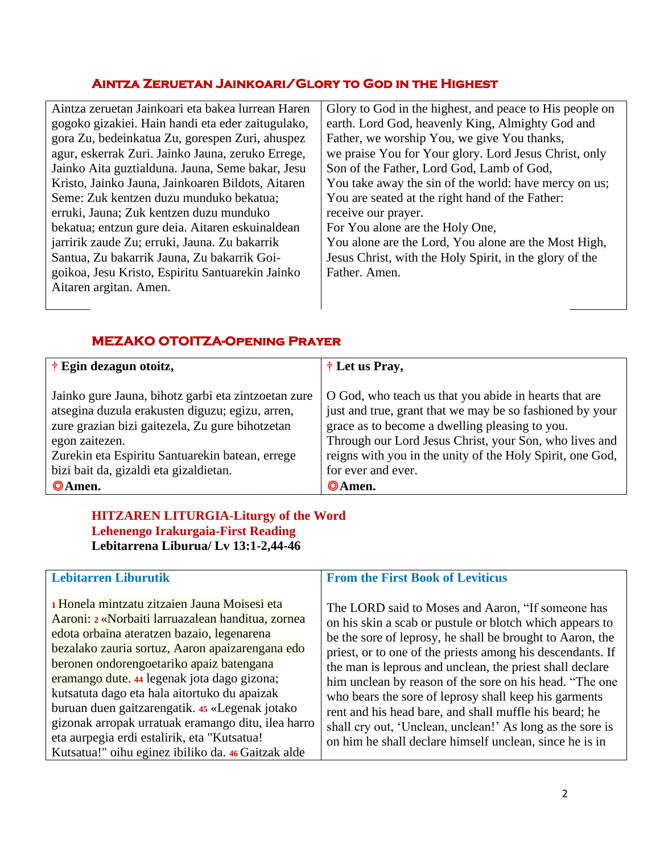## **Aintza Zeruetan Jainkoari/Glory to God in the Highest**

| Aintza zeruetan Jainkoari eta bakea lurrean Haren | Glory to God in the highest, and peace to His people on |
|---------------------------------------------------|---------------------------------------------------------|
| gogoko gizakiei. Hain handi eta eder zaitugulako, | earth. Lord God, heavenly King, Almighty God and        |
| gora Zu, bedeinkatua Zu, gorespen Zuri, ahuspez   | Father, we worship You, we give You thanks,             |
| agur, eskerrak Zuri. Jainko Jauna, zeruko Errege, | we praise You for Your glory. Lord Jesus Christ, only   |
| Jainko Aita guztialduna. Jauna, Seme bakar, Jesu  | Son of the Father, Lord God, Lamb of God,               |
| Kristo, Jainko Jauna, Jainkoaren Bildots, Aitaren | You take away the sin of the world: have mercy on us;   |
| Seme: Zuk kentzen duzu munduko bekatua;           | You are seated at the right hand of the Father:         |
| erruki, Jauna; Zuk kentzen duzu munduko           | receive our prayer.                                     |
| bekatua; entzun gure deia. Aitaren eskuinaldean   | For You alone are the Holy One,                         |
| jarririk zaude Zu; erruki, Jauna. Zu bakarrik     | You alone are the Lord, You alone are the Most High,    |
| Santua, Zu bakarrik Jauna, Zu bakarrik Goi-       | Jesus Christ, with the Holy Spirit, in the glory of the |
| goikoa, Jesu Kristo, Espiritu Santuarekin Jainko  | Father, Amen.                                           |
| Aitaren argitan. Amen.                            |                                                         |
|                                                   |                                                         |

## **MEZAKO OTOITZA-Opening Prayer**

| † Egin dezagun otoitz,                              | † Let us Pray,                                            |  |
|-----------------------------------------------------|-----------------------------------------------------------|--|
|                                                     |                                                           |  |
| Jainko gure Jauna, bihotz garbi eta zintzoetan zure | O God, who teach us that you abide in hearts that are     |  |
| atsegina duzula erakusten diguzu; egizu, arren,     | just and true, grant that we may be so fashioned by your  |  |
| zure grazian bizi gaitezela, Zu gure bihotzetan     | grace as to become a dwelling pleasing to you.            |  |
| egon zaitezen.                                      | Through our Lord Jesus Christ, your Son, who lives and    |  |
| Zurekin eta Espiritu Santuarekin batean, errege     | reigns with you in the unity of the Holy Spirit, one God, |  |
| bizi bait da, gizaldi eta gizaldietan.              | for ever and ever.                                        |  |
| <b>O</b> Amen.                                      | ©Amen.                                                    |  |
|                                                     |                                                           |  |
| <b>HITZAREN LITURGIA-Liturgy of the Word</b>        |                                                           |  |

## **HITZAREN LITURGIA-Liturgy of the Word Lehenengo Irakurgaia-First Reading Lebitarrena Liburua/ Lv 13:1-2,44-46**

| <b>Lebitarren Liburutik</b>                                                                                                                                                                                                                                                                                                                                                                                                                                                                                                                                | <b>From the First Book of Leviticus</b>                                                                                                                                                                                                                                                                                                                                                                                                                                                                                                                                                                    |
|------------------------------------------------------------------------------------------------------------------------------------------------------------------------------------------------------------------------------------------------------------------------------------------------------------------------------------------------------------------------------------------------------------------------------------------------------------------------------------------------------------------------------------------------------------|------------------------------------------------------------------------------------------------------------------------------------------------------------------------------------------------------------------------------------------------------------------------------------------------------------------------------------------------------------------------------------------------------------------------------------------------------------------------------------------------------------------------------------------------------------------------------------------------------------|
| 1 Honela mintzatu zitzaien Jauna Moisesi eta<br>Aaroni: 2 «Norbaiti larruazalean handitua, zornea<br>edota orbaina ateratzen bazaio, legenarena<br>bezalako zauria sortuz, Aaron apaizarengana edo<br>beronen ondorengoetariko apaiz batengana<br>eramango dute. 44 legenak jota dago gizona;<br>kutsatuta dago eta hala aitortuko du apaizak<br>buruan duen gaitzarengatik. 45 «Legenak jotako<br>gizonak arropak urratuak eramango ditu, ilea harro<br>eta aurpegia erdi estalirik, eta "Kutsatua!<br>Kutsatua!" oihu eginez ibiliko da. 46 Gaitzak alde | The LORD said to Moses and Aaron, "If someone has<br>on his skin a scab or pustule or blotch which appears to<br>be the sore of leprosy, he shall be brought to Aaron, the<br>priest, or to one of the priests among his descendants. If<br>the man is leprous and unclean, the priest shall declare<br>him unclean by reason of the sore on his head. "The one<br>who bears the sore of leprosy shall keep his garments<br>rent and his head bare, and shall muffle his beard; he<br>shall cry out, 'Unclean, unclean!' As long as the sore is<br>on him he shall declare himself unclean, since he is in |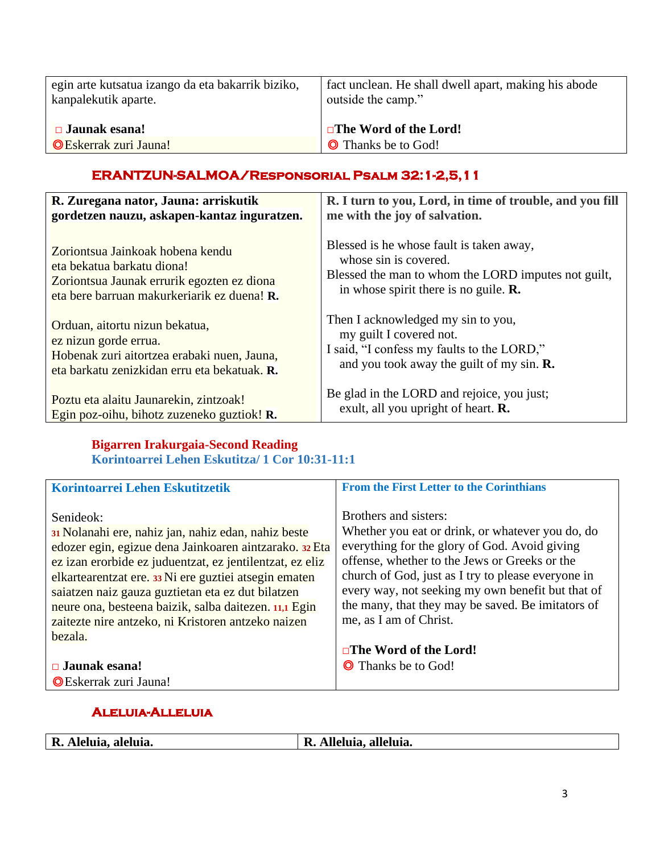| egin arte kutsatua izango da eta bakarrik biziko, | fact unclean. He shall dwell apart, making his abode |
|---------------------------------------------------|------------------------------------------------------|
| kanpalekutik aparte.                              | outside the camp."                                   |
| $\Box$ Jaunak esana!                              | $\Box$ The Word of the Lord!                         |
| <b>OEskerrak zuri Jauna!</b>                      | <b>O</b> Thanks be to God!                           |

## **ERANTZUN-SALMOA/Responsorial Psalm 32:1-2,5,11**

| R. Zuregana nator, Jauna: arriskutik         | R. I turn to you, Lord, in time of trouble, and you fill |
|----------------------------------------------|----------------------------------------------------------|
| gordetzen nauzu, askapen-kantaz inguratzen.  | me with the joy of salvation.                            |
| Zoriontsua Jainkoak hobena kendu             | Blessed is he whose fault is taken away,                 |
| eta bekatua barkatu diona!                   | whose sin is covered.                                    |
| Zoriontsua Jaunak errurik egozten ez diona   | Blessed the man to whom the LORD imputes not guilt,      |
| eta bere barruan makurkeriarik ez duena! R.  | in whose spirit there is no guile. $\mathbf{R}$ .        |
| Orduan, aitortu nizun bekatua,               | Then I acknowledged my sin to you,                       |
| ez nizun gorde errua.                        | my guilt I covered not.                                  |
| Hobenak zuri aitortzea erabaki nuen, Jauna,  | I said, "I confess my faults to the LORD,"               |
| eta barkatu zenizkidan erru eta bekatuak. R. | and you took away the guilt of my sin. $\mathbf{R}$ .    |
| Poztu eta alaitu Jaunarekin, zintzoak!       | Be glad in the LORD and rejoice, you just;               |
| Egin poz-oihu, bihotz zuzeneko guztiok! R.   | exult, all you upright of heart. <b>R.</b>               |

## **Bigarren Irakurgaia-Second Reading**

|  |  | Korintoarrei Lehen Eskutitza/ 1 Cor 10:31-11:1 |  |
|--|--|------------------------------------------------|--|
|  |  |                                                |  |

| Korintoarrei Lehen Eskutitzetik                                                                                                                                                                                                                                                                                                                                                                                                | <b>From the First Letter to the Corinthians</b>                                                                                                                                                                                                                                                                                                                                                       |
|--------------------------------------------------------------------------------------------------------------------------------------------------------------------------------------------------------------------------------------------------------------------------------------------------------------------------------------------------------------------------------------------------------------------------------|-------------------------------------------------------------------------------------------------------------------------------------------------------------------------------------------------------------------------------------------------------------------------------------------------------------------------------------------------------------------------------------------------------|
| Senideok:<br>31 Nolanahi ere, nahiz jan, nahiz edan, nahiz beste<br>edozer egin, egizue dena Jainkoaren aintzarako. 32 Eta<br>ez izan erorbide ez juduentzat, ez jentilentzat, ez eliz<br>elkartearentzat ere. 33 Ni ere guztiei atsegin ematen<br>saiatzen naiz gauza guztietan eta ez dut bilatzen<br>neure ona, besteena baizik, salba daitezen. 11,1 Egin<br>zaitezte nire antzeko, ni Kristoren antzeko naizen<br>bezala. | Brothers and sisters:<br>Whether you eat or drink, or whatever you do, do<br>everything for the glory of God. Avoid giving<br>offense, whether to the Jews or Greeks or the<br>church of God, just as I try to please everyone in<br>every way, not seeking my own benefit but that of<br>the many, that they may be saved. Be imitators of<br>me, as I am of Christ.<br>$\Box$ The Word of the Lord! |
| $\Box$ Jaunak esana!                                                                                                                                                                                                                                                                                                                                                                                                           | <b>O</b> Thanks be to God!                                                                                                                                                                                                                                                                                                                                                                            |
| <b>OE</b> skerrak zuri Jauna!                                                                                                                                                                                                                                                                                                                                                                                                  |                                                                                                                                                                                                                                                                                                                                                                                                       |

## **Aleluia-Alleluia**

| Alleluia, alleluia.<br>R. Aleluia, aleluia.<br>R. |
|---------------------------------------------------|
|---------------------------------------------------|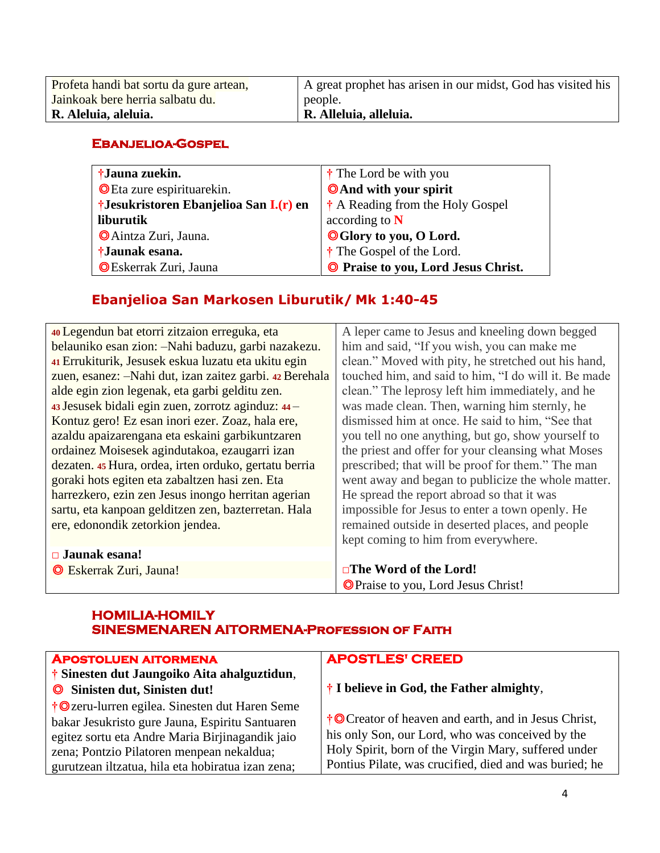| Profeta handi bat sortu da gure artean, | A great prophet has arisen in our midst, God has visited his |
|-----------------------------------------|--------------------------------------------------------------|
| Jainkoak bere herria salbatu du.        | people.                                                      |
| R. Aleluia, aleluia.                    | R. Alleluia, alleluia.                                       |
|                                         |                                                              |

#### **Ebanjelioa-Gospel**

| †Jauna zuekin.                          | † The Lord be with you               |
|-----------------------------------------|--------------------------------------|
| O Eta zure espirituarekin.              | <b>O</b> And with your spirit        |
| †Jesukristoren Ebanjelioa San I. (r) en | † A Reading from the Holy Gospel     |
| liburutik                               | according to $N$                     |
| <b>O</b> Aintza Zuri, Jauna.            | <b>OGlory to you, O Lord.</b>        |
| †Jaunak esana.                          | <sup>†</sup> The Gospel of the Lord. |
| <b>OEskerrak Zuri</b> , Jauna           | O Praise to you, Lord Jesus Christ.  |

## **Ebanjelioa San Markosen Liburutik/ Mk 1:40-45**

| 40 Legendun bat etorri zitzaion erreguka, eta           | A leper came to Jesus and kneeling down begged       |
|---------------------------------------------------------|------------------------------------------------------|
| belauniko esan zion: -Nahi baduzu, garbi nazakezu.      | him and said, "If you wish, you can make me          |
| 41 Errukiturik, Jesusek eskua luzatu eta ukitu egin     | clean." Moved with pity, he stretched out his hand,  |
| zuen, esanez: -Nahi dut, izan zaitez garbi. 42 Berehala | touched him, and said to him, "I do will it. Be made |
| alde egin zion legenak, eta garbi gelditu zen.          | clean." The leprosy left him immediately, and he     |
| 43 Jesusek bidali egin zuen, zorrotz aginduz: 44 -      | was made clean. Then, warning him sternly, he        |
| Kontuz gero! Ez esan inori ezer. Zoaz, hala ere,        | dismissed him at once. He said to him, "See that     |
| azaldu apaizarengana eta eskaini garbikuntzaren         | you tell no one anything, but go, show yourself to   |
| ordainez Moisesek agindutakoa, ezaugarri izan           | the priest and offer for your cleansing what Moses   |
| dezaten. 45 Hura, ordea, irten orduko, gertatu berria   | prescribed; that will be proof for them." The man    |
| goraki hots egiten eta zabaltzen hasi zen. Eta          | went away and began to publicize the whole matter.   |
| harrezkero, ezin zen Jesus inongo herritan agerian      | He spread the report abroad so that it was           |
| sartu, eta kanpoan gelditzen zen, bazterretan. Hala     | impossible for Jesus to enter a town openly. He      |
| ere, edonondik zetorkion jendea.                        | remained outside in deserted places, and people      |
|                                                         | kept coming to him from everywhere.                  |
| $\Box$ Jaunak esana!                                    |                                                      |
| <b>E</b> skerrak Zuri, Jauna!                           | $\square$ The Word of the Lord!                      |
|                                                         | <b>OPraise to you, Lord Jesus Christ!</b>            |

## **HOMILIA-HOMILY SINESMENAREN AITORMENA-Profession of Faith**

| <b>APOSTOLUEN AITORMENA</b>                       | <b>APOSTLES' CREED</b>                                 |
|---------------------------------------------------|--------------------------------------------------------|
| † Sinesten dut Jaungoiko Aita ahalguztidun,       |                                                        |
| Sinisten dut, Sinisten dut!                       | † I believe in God, the Father almighty,               |
| †© zeru-lurren egilea. Sinesten dut Haren Seme    |                                                        |
| bakar Jesukristo gure Jauna, Espiritu Santuaren   | †© Creator of heaven and earth, and in Jesus Christ,   |
| egitez sortu eta Andre Maria Birjinagandik jaio   | his only Son, our Lord, who was conceived by the       |
| zena; Pontzio Pilatoren menpean nekaldua;         | Holy Spirit, born of the Virgin Mary, suffered under   |
| gurutzean iltzatua, hila eta hobiratua izan zena; | Pontius Pilate, was crucified, died and was buried; he |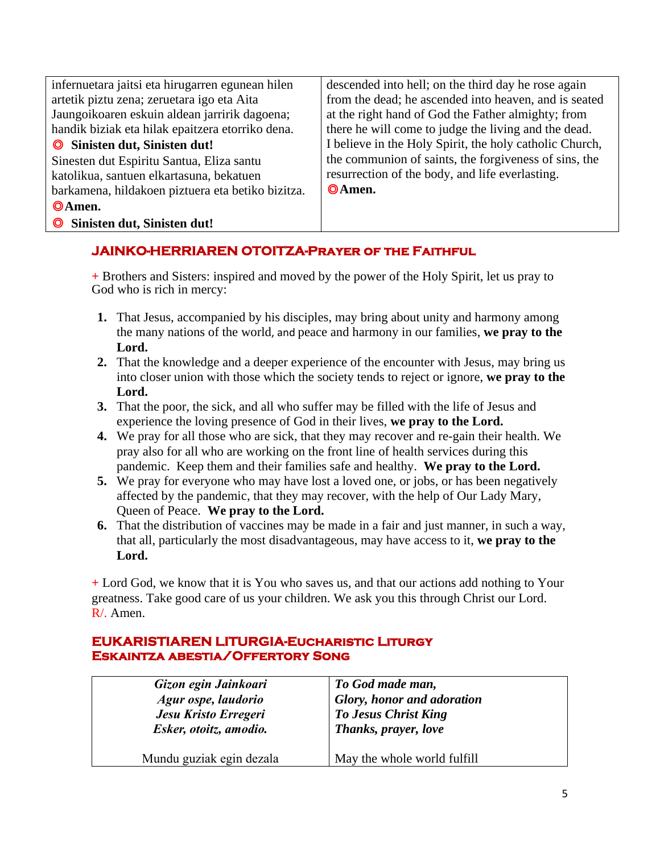| infernuetara jaitsi eta hirugarren egunean hilen  | descended into hell; on the third day he rose again     |
|---------------------------------------------------|---------------------------------------------------------|
| artetik piztu zena; zeruetara igo eta Aita        | from the dead; he ascended into heaven, and is seated   |
| Jaungoikoaren eskuin aldean jarririk dagoena;     | at the right hand of God the Father almighty; from      |
| handik biziak eta hilak epaitzera etorriko dena.  | there he will come to judge the living and the dead.    |
| Sinisten dut, Sinisten dut!                       | I believe in the Holy Spirit, the holy catholic Church, |
| Sinesten dut Espiritu Santua, Eliza santu         | the communion of saints, the forgiveness of sins, the   |
| katolikua, santuen elkartasuna, bekatuen          | resurrection of the body, and life everlasting.         |
| barkamena, hildakoen piztuera eta betiko bizitza. | ©Amen.                                                  |
| ©Amen.                                            |                                                         |
| Sinisten dut, Sinisten dut!                       |                                                         |

## **JAINKO-HERRIAREN OTOITZA-Prayer of the Faithful**

**+** Brothers and Sisters: inspired and moved by the power of the Holy Spirit, let us pray to God who is rich in mercy:

- **1.** That Jesus, accompanied by his disciples, may bring about unity and harmony among the many nations of the world, and peace and harmony in our families, **we pray to the Lord.**
- **2.** That the knowledge and a deeper experience of the encounter with Jesus, may bring us into closer union with those which the society tends to reject or ignore, **we pray to the Lord.**
- **3.** That the poor, the sick, and all who suffer may be filled with the life of Jesus and experience the loving presence of God in their lives, **we pray to the Lord.**
- **4.** We pray for all those who are sick, that they may recover and re-gain their health. We pray also for all who are working on the front line of health services during this pandemic. Keep them and their families safe and healthy. **We pray to the Lord.**
- **5.** We pray for everyone who may have lost a loved one, or jobs, or has been negatively affected by the pandemic, that they may recover, with the help of Our Lady Mary, Queen of Peace. **We pray to the Lord.**
- **6.** That the distribution of vaccines may be made in a fair and just manner, in such a way, that all, particularly the most disadvantageous, may have access to it, **we pray to the Lord.**

**+** Lord God, we know that it is You who saves us, and that our actions add nothing to Your greatness. Take good care of us your children. We ask you this through Christ our Lord. R/. Amen.

## **EUKARISTIAREN LITURGIA-Eucharistic Liturgy Eskaintza abestia/Offertory Song**

| Gizon egin Jainkoari     | To God made man,                  |
|--------------------------|-----------------------------------|
| Agur ospe, laudorio      | <b>Glory, honor and adoration</b> |
| Jesu Kristo Erregeri     | <b>To Jesus Christ King</b>       |
| Esker, otoitz, amodio.   | Thanks, prayer, love              |
| Mundu guziak egin dezala | May the whole world fulfill       |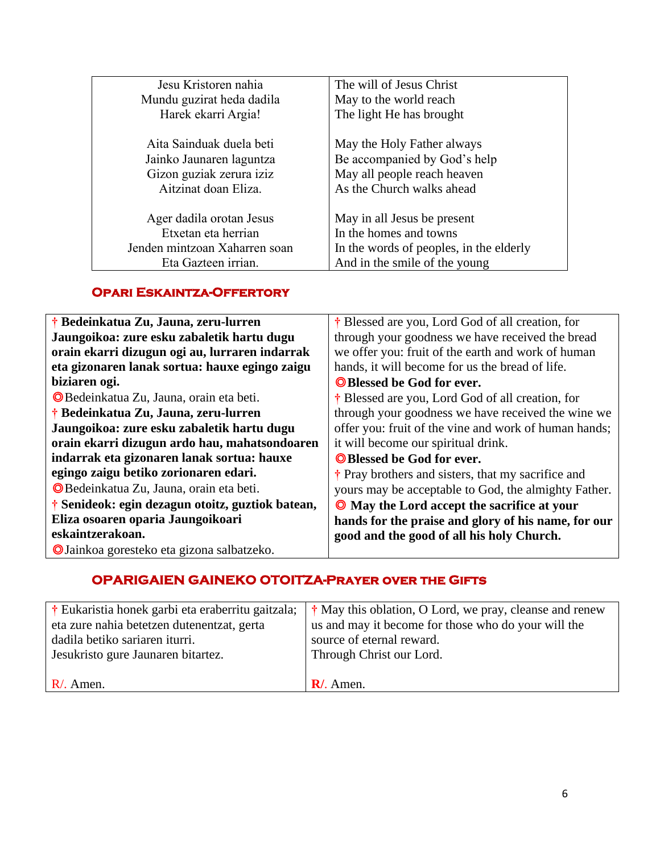| Jesu Kristoren nahia                                                                                     | The will of Jesus Christ                                                                                                          |
|----------------------------------------------------------------------------------------------------------|-----------------------------------------------------------------------------------------------------------------------------------|
| Mundu guzirat heda dadila                                                                                | May to the world reach                                                                                                            |
| Harek ekarri Argia!                                                                                      | The light He has brought                                                                                                          |
| Aita Sainduak duela beti<br>Jainko Jaunaren laguntza<br>Gizon guziak zerura iziz<br>Aitzinat doan Eliza. | May the Holy Father always<br>Be accompanied by God's help<br>May all people reach heaven<br>As the Church walks ahead            |
| Ager dadila orotan Jesus<br>Etxetan eta herrian<br>Jenden mintzoan Xaharren soan<br>Eta Gazteen irrian.  | May in all Jesus be present<br>In the homes and towns<br>In the words of peoples, in the elderly<br>And in the smile of the young |

## **Opari Eskaintza-Offertory**

| † Bedeinkatua Zu, Jauna, zeru-lurren             | † Blessed are you, Lord God of all creation, for      |
|--------------------------------------------------|-------------------------------------------------------|
| Jaungoikoa: zure esku zabaletik hartu dugu       | through your goodness we have received the bread      |
| orain ekarri dizugun ogi au, lurraren indarrak   | we offer you: fruit of the earth and work of human    |
| eta gizonaren lanak sortua: hauxe egingo zaigu   | hands, it will become for us the bread of life.       |
| biziaren ogi.                                    | <b>Solution</b> Blessed be God for ever.              |
| <b>O</b> Bedeinkatua Zu, Jauna, orain eta beti.  | † Blessed are you, Lord God of all creation, for      |
| † Bedeinkatua Zu, Jauna, zeru-lurren             | through your goodness we have received the wine we    |
| Jaungoikoa: zure esku zabaletik hartu dugu       | offer you: fruit of the vine and work of human hands; |
| orain ekarri dizugun ardo hau, mahatsondoaren    | it will become our spiritual drink.                   |
| indarrak eta gizonaren lanak sortua: hauxe       | <b>OBlessed be God for ever.</b>                      |
| egingo zaigu betiko zorionaren edari.            | † Pray brothers and sisters, that my sacrifice and    |
| <b>O</b> Bedeinkatua Zu, Jauna, orain eta beti.  | yours may be acceptable to God, the almighty Father.  |
| † Senideok: egin dezagun otoitz, guztiok batean, | <b>O</b> May the Lord accept the sacrifice at your    |
| Eliza osoaren oparia Jaungoikoari                | hands for the praise and glory of his name, for our   |
| eskaintzerakoan.                                 | good and the good of all his holy Church.             |
| O Jainkoa goresteko eta gizona salbatzeko.       |                                                       |

## **OPARIGAIEN GAINEKO OTOITZA-Prayer over the Gifts**

| † Eukaristia honek garbi eta eraberritu gaitzala; | <sup>†</sup> May this oblation, O Lord, we pray, cleanse and renew |
|---------------------------------------------------|--------------------------------------------------------------------|
| eta zure nahia betetzen dutenentzat, gerta        | us and may it become for those who do your will the                |
| dadila betiko sariaren iturri.                    | source of eternal reward.                                          |
| Jesukristo gure Jaunaren bitartez.                | Through Christ our Lord.                                           |
|                                                   |                                                                    |
| $R/$ . Amen.                                      | $\mathbf{R}$ . Amen.                                               |
|                                                   |                                                                    |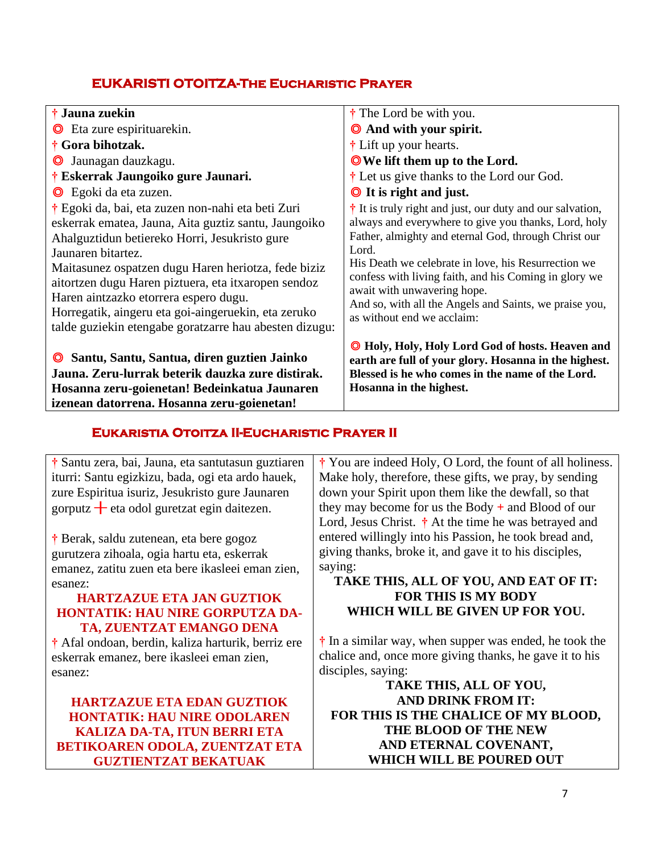## **EUKARISTI OTOITZA-The Eucharistic Prayer**

| † Jauna zuekin                                                                                                                                                                                                                                                                                                                                                                                                                                           | † The Lord be with you.                                                                                                                                                                                                                                                                                                                                                                                                           |
|----------------------------------------------------------------------------------------------------------------------------------------------------------------------------------------------------------------------------------------------------------------------------------------------------------------------------------------------------------------------------------------------------------------------------------------------------------|-----------------------------------------------------------------------------------------------------------------------------------------------------------------------------------------------------------------------------------------------------------------------------------------------------------------------------------------------------------------------------------------------------------------------------------|
| <b>O</b> Eta zure espirituarekin.                                                                                                                                                                                                                                                                                                                                                                                                                        | <b>O</b> And with your spirit.                                                                                                                                                                                                                                                                                                                                                                                                    |
| † Gora bihotzak.                                                                                                                                                                                                                                                                                                                                                                                                                                         | † Lift up your hearts.                                                                                                                                                                                                                                                                                                                                                                                                            |
| Jaunagan dauzkagu.<br>$\circledcirc$                                                                                                                                                                                                                                                                                                                                                                                                                     | <b>O</b> We lift them up to the Lord.                                                                                                                                                                                                                                                                                                                                                                                             |
| † Eskerrak Jaungoiko gure Jaunari.                                                                                                                                                                                                                                                                                                                                                                                                                       | <sup>†</sup> Let us give thanks to the Lord our God.                                                                                                                                                                                                                                                                                                                                                                              |
| <b>O</b> Egoki da eta zuzen.                                                                                                                                                                                                                                                                                                                                                                                                                             | <b>O</b> It is right and just.                                                                                                                                                                                                                                                                                                                                                                                                    |
| † Egoki da, bai, eta zuzen non-nahi eta beti Zuri<br>eskerrak ematea, Jauna, Aita guztiz santu, Jaungoiko<br>Ahalguztidun betiereko Horri, Jesukristo gure<br>Jaunaren bitartez.<br>Maitasunez ospatzen dugu Haren heriotza, fede biziz<br>aitortzen dugu Haren piztuera, eta itxaropen sendoz<br>Haren aintzazko etorrera espero dugu.<br>Horregatik, aingeru eta goi-aingeruekin, eta zeruko<br>talde guziekin etengabe goratzarre hau abesten dizugu: | $\dagger$ It is truly right and just, our duty and our salvation,<br>always and everywhere to give you thanks, Lord, holy<br>Father, almighty and eternal God, through Christ our<br>Lord.<br>His Death we celebrate in love, his Resurrection we<br>confess with living faith, and his Coming in glory we<br>await with unwavering hope.<br>And so, with all the Angels and Saints, we praise you,<br>as without end we acclaim: |
| Santu, Santu, Santua, diren guztien Jainko<br>Jauna. Zeru-lurrak beterik dauzka zure distirak.<br>Hosanna zeru-goienetan! Bedeinkatua Jaunaren                                                                                                                                                                                                                                                                                                           | <sup>1</sup> Holy, Holy, Holy Lord God of hosts. Heaven and<br>earth are full of your glory. Hosanna in the highest.<br>Blessed is he who comes in the name of the Lord.<br>Hosanna in the highest.                                                                                                                                                                                                                               |

## **Eukaristia Otoitza II-Eucharistic Prayer II**

**†** Santu zera, bai, Jauna, eta santutasun guztiaren iturri: Santu egizkizu, bada, ogi eta ardo hauek, zure Espiritua isuriz, Jesukristo gure Jaunaren gorputz  $+$  eta odol guretzat egin daitezen.

**izenean datorrena. Hosanna zeru-goienetan!**

**†** Berak, saldu zutenean, eta bere gogoz gurutzera zihoala, ogia hartu eta, eskerrak emanez, zatitu zuen eta bere ikasleei eman zien, esanez:

#### **HARTZAZUE ETA JAN GUZTIOK HONTATIK: HAU NIRE GORPUTZA DA-TA, ZUENTZAT EMANGO DENA**

**†** Afal ondoan, berdin, kaliza harturik, berriz ere eskerrak emanez, bere ikasleei eman zien, esanez:

**HARTZAZUE ETA EDAN GUZTIOK HONTATIK: HAU NIRE ODOLAREN KALIZA DA-TA, ITUN BERRI ETA BETIKOAREN ODOLA, ZUENTZAT ETA GUZTIENTZAT BEKATUAK** 

**†** You are indeed Holy, O Lord, the fount of all holiness. Make holy, therefore, these gifts, we pray, by sending down your Spirit upon them like the dewfall, so that they may become for us the Body **+** and Blood of our Lord, Jesus Christ. **†** At the time he was betrayed and entered willingly into his Passion, he took bread and, giving thanks, broke it, and gave it to his disciples, saying:

#### **TAKE THIS, ALL OF YOU, AND EAT OF IT: FOR THIS IS MY BODY WHICH WILL BE GIVEN UP FOR YOU.**

**†** In a similar way, when supper was ended, he took the chalice and, once more giving thanks, he gave it to his disciples, saying:

**TAKE THIS, ALL OF YOU, AND DRINK FROM IT: FOR THIS IS THE CHALICE OF MY BLOOD, THE BLOOD OF THE NEW AND ETERNAL COVENANT, WHICH WILL BE POURED OUT**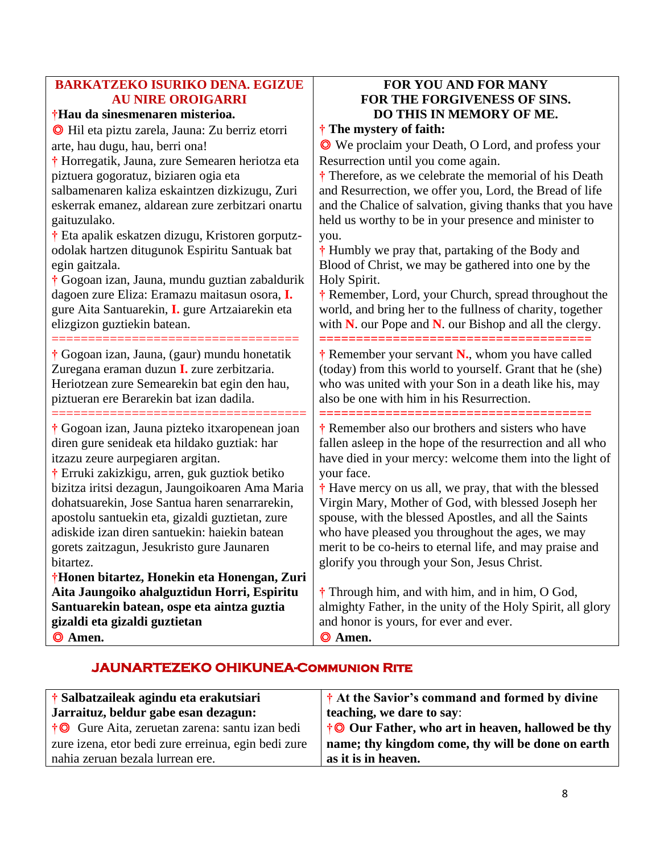## **BARKATZEKO ISURIKO DENA. EGIZUE AU NIRE OROIGARRI**

## **†Hau da sinesmenaren misterioa.**

◎ Hil eta piztu zarela, Jauna: Zu berriz etorri arte, hau dugu, hau, berri ona!

**†** Horregatik, Jauna, zure Semearen heriotza eta piztuera gogoratuz, biziaren ogia eta

salbamenaren kaliza eskaintzen dizkizugu, Zuri eskerrak emanez, aldarean zure zerbitzari onartu gaituzulako.

**†** Eta apalik eskatzen dizugu, Kristoren gorputzodolak hartzen ditugunok Espiritu Santuak bat egin gaitzala.

**†** Gogoan izan, Jauna, mundu guztian zabaldurik dagoen zure Eliza: Eramazu maitasun osora, **I.** gure Aita Santuarekin, **I.** gure Artzaiarekin eta elizgizon guztiekin batean.

==================================

**†** Gogoan izan, Jauna, (gaur) mundu honetatik Zuregana eraman duzun **I.** zure zerbitzaria. Heriotzean zure Semearekin bat egin den hau, piztueran ere Berarekin bat izan dadila.

**†** Gogoan izan, Jauna pizteko itxaropenean joan diren gure senideak eta hildako guztiak: har itzazu zeure aurpegiaren argitan.

===================================

**†** Erruki zakizkigu, arren, guk guztiok betiko bizitza iritsi dezagun, Jaungoikoaren Ama Maria dohatsuarekin, Jose Santua haren senarrarekin, apostolu santuekin eta, gizaldi guztietan, zure adiskide izan diren santuekin: haiekin batean gorets zaitzagun, Jesukristo gure Jaunaren bitartez.

**†Honen bitartez, Honekin eta Honengan, Zuri Aita Jaungoiko ahalguztidun Horri, Espiritu Santuarekin batean, ospe eta aintza guztia gizaldi eta gizaldi guztietan** ◎ **Amen.**

## **FOR YOU AND FOR MANY FOR THE FORGIVENESS OF SINS. DO THIS IN MEMORY OF ME.**

**† The mystery of faith:**

**=====================================**

◎ We proclaim your Death, O Lord, and profess your Resurrection until you come again.

**†** Therefore, as we celebrate the memorial of his Death and Resurrection, we offer you, Lord, the Bread of life and the Chalice of salvation, giving thanks that you have held us worthy to be in your presence and minister to you.

**†** Humbly we pray that, partaking of the Body and Blood of Christ, we may be gathered into one by the Holy Spirit.

**†** Remember, Lord, your Church, spread throughout the world, and bring her to the fullness of charity, together with **N**. our Pope and **N**. our Bishop and all the clergy.

**†** Remember your servant **N.**, whom you have called (today) from this world to yourself. Grant that he (she) who was united with your Son in a death like his, may also be one with him in his Resurrection.

**===================================== †** Remember also our brothers and sisters who have fallen asleep in the hope of the resurrection and all who have died in your mercy: welcome them into the light of your face.

**†** Have mercy on us all, we pray, that with the blessed Virgin Mary, Mother of God, with blessed Joseph her spouse, with the blessed Apostles, and all the Saints who have pleased you throughout the ages, we may merit to be co-heirs to eternal life, and may praise and glorify you through your Son, Jesus Christ.

**†** Through him, and with him, and in him, O God, almighty Father, in the unity of the Holy Spirit, all glory and honor is yours, for ever and ever. ◎ **Amen.**

## **JAUNARTEZEKO OHIKUNEA-Communion Rite**

| † Salbatzaileak agindu eta erakutsiari<br>Jarraituz, beldur gabe esan dezagun: | † At the Savior's command and formed by divine<br>teaching, we dare to say: |
|--------------------------------------------------------------------------------|-----------------------------------------------------------------------------|
| †© Gure Aita, zeruetan zarena: santu izan bedi                                 | †© Our Father, who art in heaven, hallowed be thy                           |
| zure izena, etor bedi zure erreinua, egin bedi zure                            | name; thy kingdom come, thy will be done on earth                           |
| nahia zeruan bezala lurrean ere.                                               | as it is in heaven.                                                         |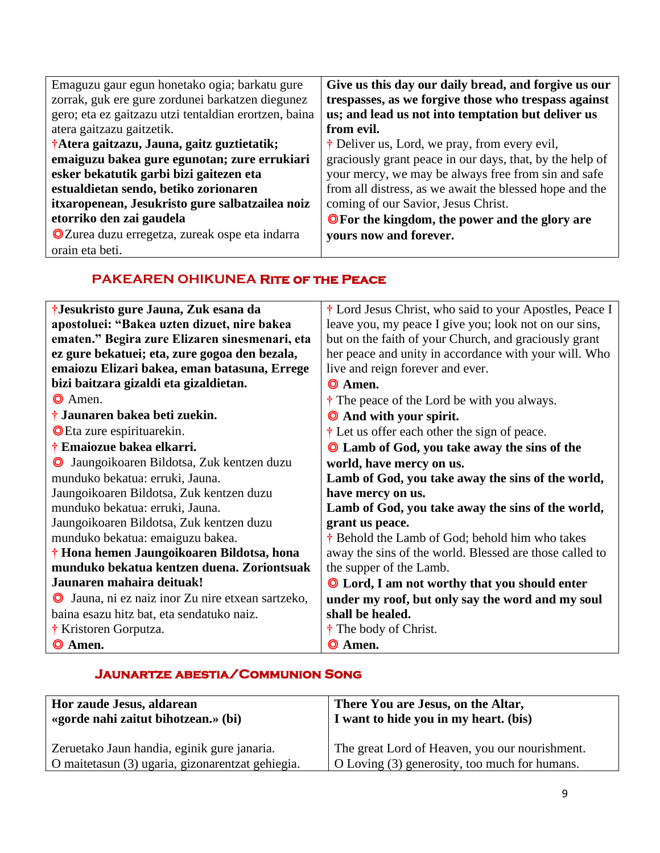| Emaguzu gaur egun honetako ogia; barkatu gure         | Give us this day our daily bread, and forgive us our     |
|-------------------------------------------------------|----------------------------------------------------------|
| zorrak, guk ere gure zordunei barkatzen diegunez      | trespasses, as we forgive those who trespass against     |
| gero; eta ez gaitzazu utzi tentaldian erortzen, baina | us; and lead us not into temptation but deliver us       |
| atera gaitzazu gaitzetik.                             | from evil.                                               |
| †Atera gaitzazu, Jauna, gaitz guztietatik;            | $\dagger$ Deliver us, Lord, we pray, from every evil,    |
| emaiguzu bakea gure egunotan; zure errukiari          | graciously grant peace in our days, that, by the help of |
| esker bekatutik garbi bizi gaitezen eta               | your mercy, we may be always free from sin and safe      |
| estualdietan sendo, betiko zorionaren                 | from all distress, as we await the blessed hope and the  |
| itxaropenean, Jesukristo gure salbatzailea noiz       | coming of our Savior, Jesus Christ.                      |
| etorriko den zai gaudela                              | <b>O</b> For the kingdom, the power and the glory are    |
| O Zurea duzu erregetza, zureak ospe eta indarra       | yours now and forever.                                   |
| orain eta beti.                                       |                                                          |

## **PAKEAREN OHIKUNEA Rite of the Peace**

| †Jesukristo gure Jauna, Zuk esana da                                    | <sup>†</sup> Lord Jesus Christ, who said to your Apostles, Peace I |
|-------------------------------------------------------------------------|--------------------------------------------------------------------|
| apostoluei: "Bakea uzten dizuet, nire bakea                             | leave you, my peace I give you; look not on our sins,              |
| ematen." Begira zure Elizaren sinesmenari, eta                          | but on the faith of your Church, and graciously grant              |
| ez gure bekatuei; eta, zure gogoa den bezala,                           | her peace and unity in accordance with your will. Who              |
| emaiozu Elizari bakea, eman batasuna, Errege                            | live and reign forever and ever.                                   |
| bizi baitzara gizaldi eta gizaldietan.                                  | <b>O</b> Amen.                                                     |
| <b>O</b> Amen.                                                          | $\dagger$ The peace of the Lord be with you always.                |
| † Jaunaren bakea beti zuekin.                                           | <b>Q</b> And with your spirit.                                     |
| <b>O</b> Eta zure espirituarekin.                                       | $\dagger$ Let us offer each other the sign of peace.               |
| † Emaiozue bakea elkarri.                                               | <b>Q</b> Lamb of God, you take away the sins of the                |
| Jaungoikoaren Bildotsa, Zuk kentzen duzu<br>O                           | world, have mercy on us.                                           |
| munduko bekatua: erruki, Jauna.                                         | Lamb of God, you take away the sins of the world,                  |
| Jaungoikoaren Bildotsa, Zuk kentzen duzu                                | have mercy on us.                                                  |
| munduko bekatua: erruki, Jauna.                                         | Lamb of God, you take away the sins of the world,                  |
| Jaungoikoaren Bildotsa, Zuk kentzen duzu                                | grant us peace.                                                    |
| munduko bekatua: emaiguzu bakea.                                        | † Behold the Lamb of God; behold him who takes                     |
| † Hona hemen Jaungoikoaren Bildotsa, hona                               | away the sins of the world. Blessed are those called to            |
| munduko bekatua kentzen duena. Zoriontsuak                              | the supper of the Lamb.                                            |
| Jaunaren mahaira deituak!                                               | <b>Q</b> Lord, I am not worthy that you should enter               |
| Jauna, ni ez naiz inor Zu nire etxean sartzeko,<br>$\boldsymbol{\circ}$ | under my roof, but only say the word and my soul                   |
| baina esazu hitz bat, eta sendatuko naiz.                               | shall be healed.                                                   |
| † Kristoren Gorputza.                                                   | † The body of Christ.                                              |
| © Amen.                                                                 | © Amen.                                                            |

## **Jaunartze abestia/Communion Song**

| Hor zaude Jesus, aldarean                        | There You are Jesus, on the Altar,             |
|--------------------------------------------------|------------------------------------------------|
| «gorde nahi zaitut bihotzean.» (bi)              | I want to hide you in my heart. (bis)          |
| Zeruetako Jaun handia, eginik gure janaria.      | The great Lord of Heaven, you our nourishment. |
| O maitetasun (3) ugaria, gizonarentzat gehiegia. | O Loving (3) generosity, too much for humans.  |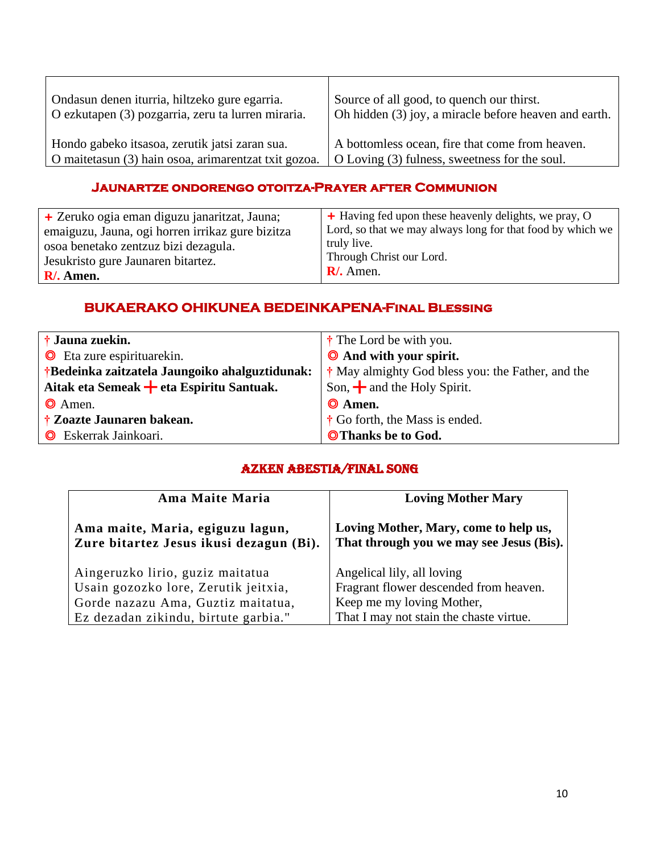| Ondasun denen iturria, hiltzeko gure egarria.        | Source of all good, to quench our thirst.             |
|------------------------------------------------------|-------------------------------------------------------|
| O ezkutapen (3) pozgarria, zeru ta lurren miraria.   | Oh hidden (3) joy, a miracle before heaven and earth. |
| Hondo gabeko itsasoa, zerutik jatsi zaran sua.       | A bottomless ocean, fire that come from heaven.       |
| O maitetasun (3) hain osoa, arimarentzat txit gozoa. | O Loving (3) fulness, sweetness for the soul.         |

## **Jaunartze ondorengo otoitza-Prayer after Communion**

| + Zeruko ogia eman diguzu janaritzat, Jauna;     | + Having fed upon these heavenly delights, we pray, O      |
|--------------------------------------------------|------------------------------------------------------------|
| emaiguzu, Jauna, ogi horren irrikaz gure bizitza | Lord, so that we may always long for that food by which we |
| osoa benetako zentzuz bizi dezagula.             | truly live.                                                |
| Jesukristo gure Jaunaren bitartez.               | Through Christ our Lord.                                   |
| $R/$ . Amen.                                     | $\mathbf{R}$ . Amen.                                       |

## **BUKAERAKO OHIKUNEA BEDEINKAPENA-Final Blessing**

| † Jauna zuekin.                                | $\dagger$ The Lord be with you.                              |
|------------------------------------------------|--------------------------------------------------------------|
| <b>O</b> Eta zure espirituarekin.              | <b>O</b> And with your spirit.                               |
| †Bedeinka zaitzatela Jaungoiko ahalguztidunak: | <sup>†</sup> May almighty God bless you: the Father, and the |
| Aitak eta Semeak + eta Espiritu Santuak.       | Son, $\frac{1}{\sqrt{2}}$ and the Holy Spirit.               |
| $\odot$ Amen.                                  | $\odot$ Amen.                                                |
| † Zoazte Jaunaren bakean.                      | $\dagger$ Go forth, the Mass is ended.                       |
| <b>O</b> Eskerrak Jainkoari.                   | <b>OThanks be to God.</b>                                    |

#### Azken Abestia/Final Song

| Ama Maite Maria                                                             | <b>Loving Mother Mary</b>                                                         |
|-----------------------------------------------------------------------------|-----------------------------------------------------------------------------------|
| Ama maite, Maria, egiguzu lagun,<br>Zure bitartez Jesus ikusi dezagun (Bi). | Loving Mother, Mary, come to help us,<br>That through you we may see Jesus (Bis). |
| Aingeruzko lirio, guziz maitatua                                            | Angelical lily, all loving                                                        |
| Usain gozozko lore, Zerutik jeitxia,                                        | Fragrant flower descended from heaven.                                            |
| Gorde nazazu Ama, Guztiz maitatua,                                          | Keep me my loving Mother,                                                         |
| Ez dezadan zikindu, birtute garbia."                                        | That I may not stain the chaste virtue.                                           |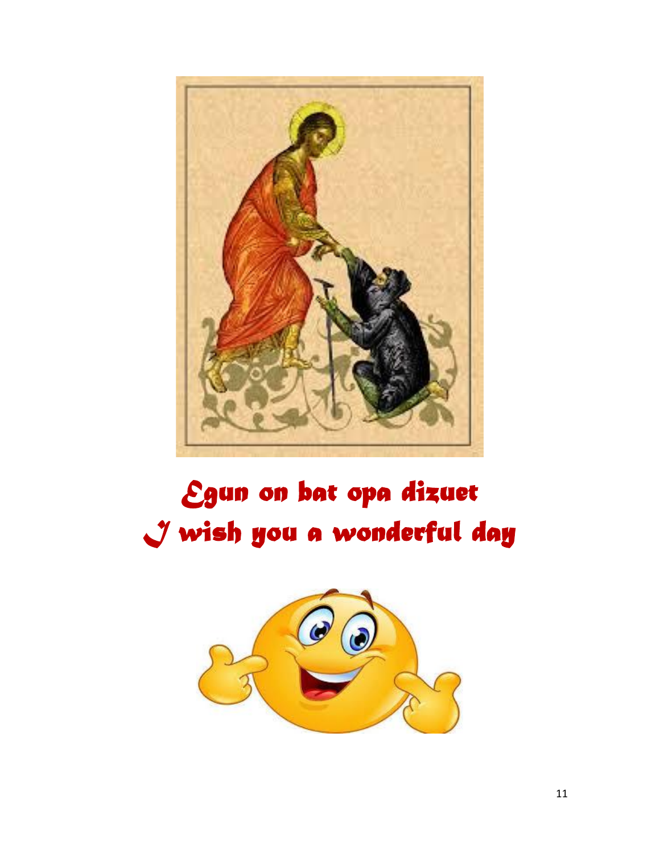

# *Egun on bat opa dizuet I wish you a wonderful day*

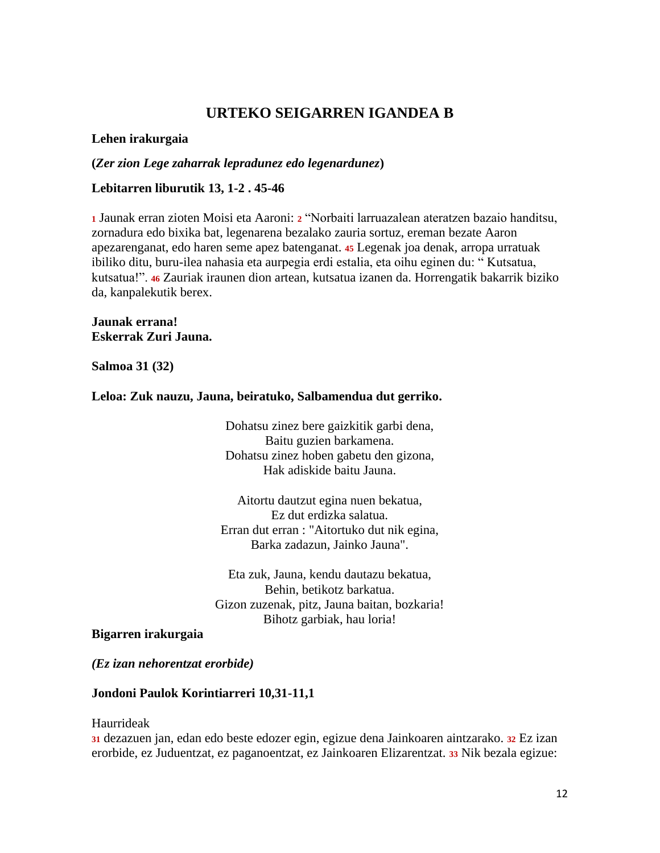## **URTEKO SEIGARREN IGANDEA B**

#### **Lehen irakurgaia**

**(***Zer zion Lege zaharrak lepradunez edo legenardunez***)**

#### **Lebitarren liburutik 13, 1-2 . 45-46**

**<sup>1</sup>** Jaunak erran zioten Moisi eta Aaroni: **<sup>2</sup>** "Norbaiti larruazalean ateratzen bazaio handitsu, zornadura edo bixika bat, legenarena bezalako zauria sortuz, ereman bezate Aaron apezarenganat, edo haren seme apez batenganat. **<sup>45</sup>** Legenak joa denak, arropa urratuak ibiliko ditu, buru-ilea nahasia eta aurpegia erdi estalia, eta oihu eginen du: " Kutsatua, kutsatua!". **<sup>46</sup>** Zauriak iraunen dion artean, kutsatua izanen da. Horrengatik bakarrik biziko da, kanpalekutik berex.

#### **Jaunak errana! Eskerrak Zuri Jauna.**

**Salmoa 31 (32)**

#### **Leloa: Zuk nauzu, Jauna, beiratuko, Salbamendua dut gerriko.**

Dohatsu zinez bere gaizkitik garbi dena, Baitu guzien barkamena. Dohatsu zinez hoben gabetu den gizona, Hak adiskide baitu Jauna.

Aitortu dautzut egina nuen bekatua, Ez dut erdizka salatua. Erran dut erran : "Aitortuko dut nik egina, Barka zadazun, Jainko Jauna".

Eta zuk, Jauna, kendu dautazu bekatua, Behin, betikotz barkatua. Gizon zuzenak, pitz, Jauna baitan, bozkaria! Bihotz garbiak, hau loria!

#### **Bigarren irakurgaia**

*(Ez izan nehorentzat erorbide)*

#### **Jondoni Paulok Korintiarreri 10,31-11,1**

Haurrideak

**<sup>31</sup>** dezazuen jan, edan edo beste edozer egin, egizue dena Jainkoaren aintzarako. **<sup>32</sup>** Ez izan erorbide, ez Juduentzat, ez paganoentzat, ez Jainkoaren Elizarentzat. **<sup>33</sup>** Nik bezala egizue: